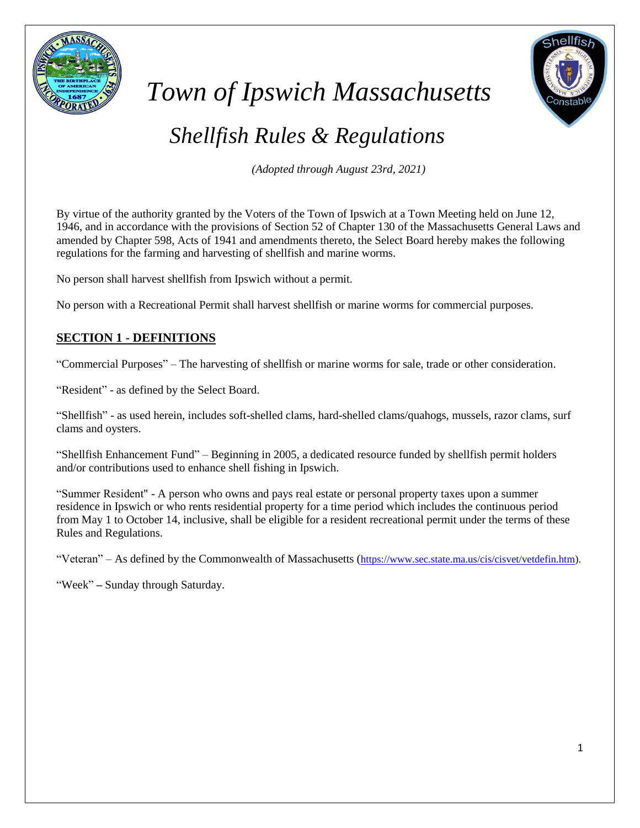

# *Town of Ipswich Massachusetts*

# *Shellfish Rules & Regulations*

*(Adopted through August 23rd, 2021)*

By virtue of the authority granted by the Voters of the Town of Ipswich at a Town Meeting held on June 12, 1946, and in accordance with the provisions of Section 52 of Chapter 130 of the Massachusetts General Laws and amended by Chapter 598, Acts of 1941 and amendments thereto, the Select Board hereby makes the following regulations for the farming and harvesting of shellfish and marine worms.

No person shall harvest shellfish from Ipswich without a permit.

No person with a Recreational Permit shall harvest shellfish or marine worms for commercial purposes.

# **SECTION 1 - DEFINITIONS**

"Commercial Purposes" – The harvesting of shellfish or marine worms for sale, trade or other consideration.

"Resident" - as defined by the Select Board.

"Shellfish" - as used herein, includes soft-shelled clams, hard-shelled clams/quahogs, mussels, razor clams, surf clams and oysters.

"Shellfish Enhancement Fund" – Beginning in 2005, a dedicated resource funded by shellfish permit holders and/or contributions used to enhance shell fishing in Ipswich.

"Summer Resident" - A person who owns and pays real estate or personal property taxes upon a summer residence in Ipswich or who rents residential property for a time period which includes the continuous period from May 1 to October 14, inclusive, shall be eligible for a resident recreational permit under the terms of these Rules and Regulations.

"Veteran" – As defined by the Commonwealth of Massachusetts ([https://www.sec.state.ma.us/cis/cisvet/vetdefin.htm\)](https://www.sec.state.ma.us/cis/cisvet/vetdefin.htm).

"Week" – Sunday through Saturday.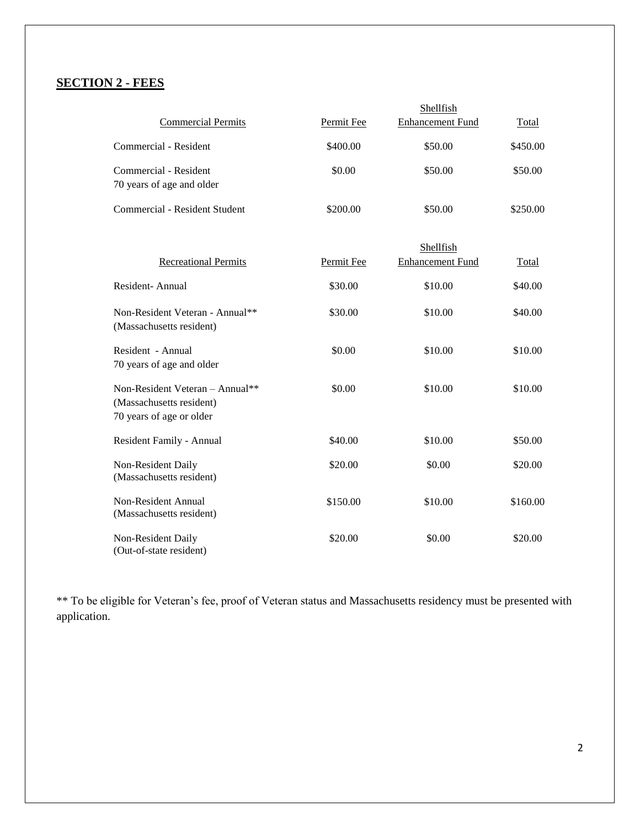# **SECTION 2 - FEES**

|                                                                                         |            | Shellfish                            |              |
|-----------------------------------------------------------------------------------------|------------|--------------------------------------|--------------|
| <b>Commercial Permits</b>                                                               | Permit Fee | <b>Enhancement Fund</b>              | <b>Total</b> |
| Commercial - Resident                                                                   | \$400.00   | \$50.00                              | \$450.00     |
| Commercial - Resident<br>70 years of age and older                                      | \$0.00     | \$50.00                              | \$50.00      |
| Commercial - Resident Student                                                           | \$200.00   | \$50.00                              | \$250.00     |
| <b>Recreational Permits</b>                                                             | Permit Fee | Shellfish<br><b>Enhancement Fund</b> | <b>Total</b> |
| Resident-Annual                                                                         | \$30.00    | \$10.00                              | \$40.00      |
| Non-Resident Veteran - Annual**<br>(Massachusetts resident)                             | \$30.00    | \$10.00                              | \$40.00      |
| Resident - Annual<br>70 years of age and older                                          | \$0.00     | \$10.00                              | \$10.00      |
| Non-Resident Veteran - Annual**<br>(Massachusetts resident)<br>70 years of age or older | \$0.00     | \$10.00                              | \$10.00      |
| Resident Family - Annual                                                                | \$40.00    | \$10.00                              | \$50.00      |
| Non-Resident Daily<br>(Massachusetts resident)                                          | \$20.00    | \$0.00                               | \$20.00      |
| Non-Resident Annual<br>(Massachusetts resident)                                         | \$150.00   | \$10.00                              | \$160.00     |
| Non-Resident Daily<br>(Out-of-state resident)                                           | \$20.00    | \$0.00                               | \$20.00      |

\*\* To be eligible for Veteran's fee, proof of Veteran status and Massachusetts residency must be presented with application.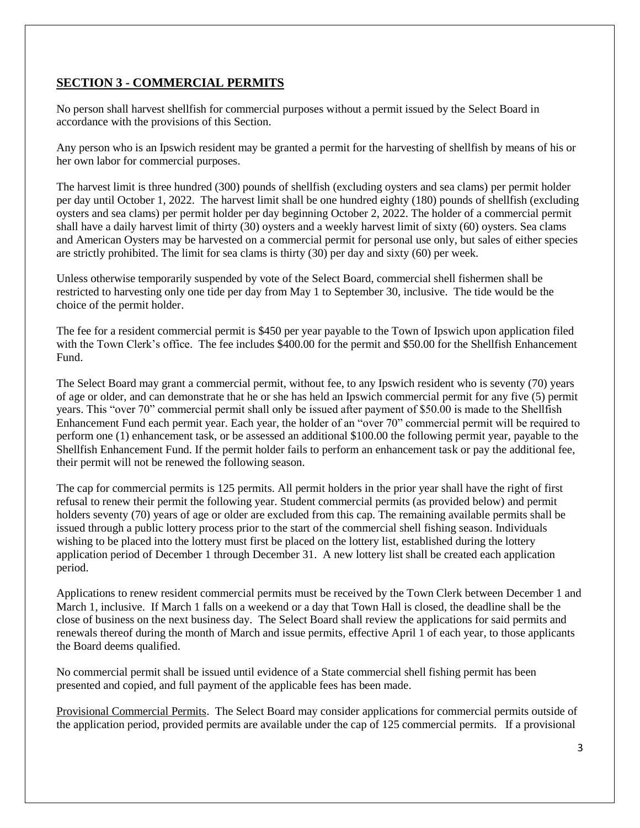# **SECTION 3 - COMMERCIAL PERMITS**

No person shall harvest shellfish for commercial purposes without a permit issued by the Select Board in accordance with the provisions of this Section.

Any person who is an Ipswich resident may be granted a permit for the harvesting of shellfish by means of his or her own labor for commercial purposes.

The harvest limit is three hundred (300) pounds of shellfish (excluding oysters and sea clams) per permit holder per day until October 1, 2022. The harvest limit shall be one hundred eighty (180) pounds of shellfish (excluding oysters and sea clams) per permit holder per day beginning October 2, 2022. The holder of a commercial permit shall have a daily harvest limit of thirty (30) oysters and a weekly harvest limit of sixty (60) oysters. Sea clams and American Oysters may be harvested on a commercial permit for personal use only, but sales of either species are strictly prohibited. The limit for sea clams is thirty (30) per day and sixty (60) per week.

Unless otherwise temporarily suspended by vote of the Select Board, commercial shell fishermen shall be restricted to harvesting only one tide per day from May 1 to September 30, inclusive. The tide would be the choice of the permit holder.

The fee for a resident commercial permit is \$450 per year payable to the Town of Ipswich upon application filed with the Town Clerk's office. The fee includes \$400.00 for the permit and \$50.00 for the Shellfish Enhancement Fund.

The Select Board may grant a commercial permit, without fee, to any Ipswich resident who is seventy (70) years of age or older, and can demonstrate that he or she has held an Ipswich commercial permit for any five (5) permit years. This "over 70" commercial permit shall only be issued after payment of \$50.00 is made to the Shellfish Enhancement Fund each permit year. Each year, the holder of an "over 70" commercial permit will be required to perform one (1) enhancement task, or be assessed an additional \$100.00 the following permit year, payable to the Shellfish Enhancement Fund. If the permit holder fails to perform an enhancement task or pay the additional fee, their permit will not be renewed the following season.

The cap for commercial permits is 125 permits. All permit holders in the prior year shall have the right of first refusal to renew their permit the following year. Student commercial permits (as provided below) and permit holders seventy (70) years of age or older are excluded from this cap. The remaining available permits shall be issued through a public lottery process prior to the start of the commercial shell fishing season. Individuals wishing to be placed into the lottery must first be placed on the lottery list, established during the lottery application period of December 1 through December 31. A new lottery list shall be created each application period.

Applications to renew resident commercial permits must be received by the Town Clerk between December 1 and March 1, inclusive. If March 1 falls on a weekend or a day that Town Hall is closed, the deadline shall be the close of business on the next business day. The Select Board shall review the applications for said permits and renewals thereof during the month of March and issue permits, effective April 1 of each year, to those applicants the Board deems qualified.

No commercial permit shall be issued until evidence of a State commercial shell fishing permit has been presented and copied, and full payment of the applicable fees has been made.

Provisional Commercial Permits. The Select Board may consider applications for commercial permits outside of the application period, provided permits are available under the cap of 125 commercial permits. If a provisional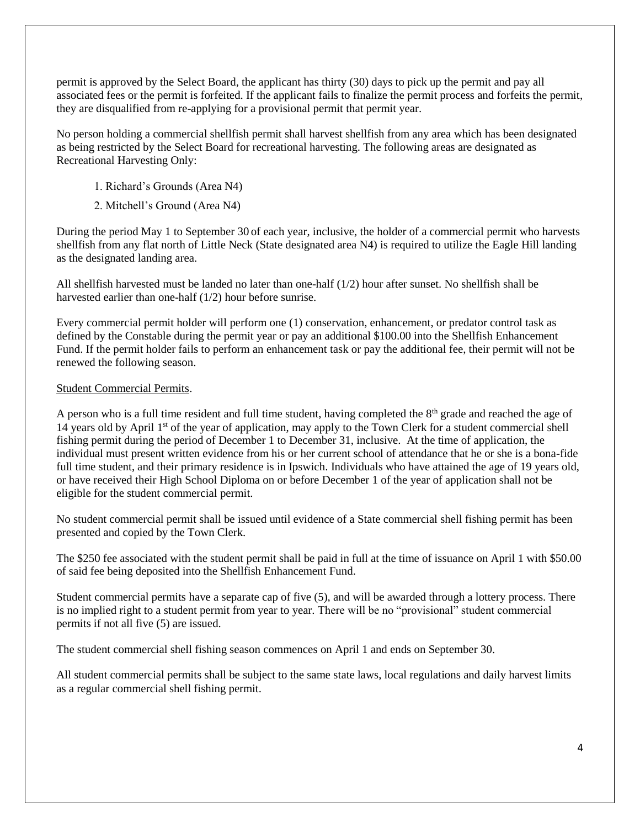permit is approved by the Select Board, the applicant has thirty (30) days to pick up the permit and pay all associated fees or the permit is forfeited. If the applicant fails to finalize the permit process and forfeits the permit, they are disqualified from re-applying for a provisional permit that permit year.

No person holding a commercial shellfish permit shall harvest shellfish from any area which has been designated as being restricted by the Select Board for recreational harvesting. The following areas are designated as Recreational Harvesting Only:

- 1. Richard's Grounds (Area N4)
- 2. Mitchell's Ground (Area N4)

During the period May 1 to September 30 of each year, inclusive, the holder of a commercial permit who harvests shellfish from any flat north of Little Neck (State designated area N4) is required to utilize the Eagle Hill landing as the designated landing area.

All shellfish harvested must be landed no later than one-half (1/2) hour after sunset. No shellfish shall be harvested earlier than one-half (1/2) hour before sunrise.

Every commercial permit holder will perform one (1) conservation, enhancement, or predator control task as defined by the Constable during the permit year or pay an additional \$100.00 into the Shellfish Enhancement Fund. If the permit holder fails to perform an enhancement task or pay the additional fee, their permit will not be renewed the following season.

#### Student Commercial Permits.

A person who is a full time resident and full time student, having completed the  $8<sup>th</sup>$  grade and reached the age of 14 years old by April 1<sup>st</sup> of the year of application, may apply to the Town Clerk for a student commercial shell fishing permit during the period of December 1 to December 31, inclusive. At the time of application, the individual must present written evidence from his or her current school of attendance that he or she is a bona-fide full time student, and their primary residence is in Ipswich. Individuals who have attained the age of 19 years old, or have received their High School Diploma on or before December 1 of the year of application shall not be eligible for the student commercial permit.

No student commercial permit shall be issued until evidence of a State commercial shell fishing permit has been presented and copied by the Town Clerk.

The \$250 fee associated with the student permit shall be paid in full at the time of issuance on April 1 with \$50.00 of said fee being deposited into the Shellfish Enhancement Fund.

Student commercial permits have a separate cap of five (5), and will be awarded through a lottery process. There is no implied right to a student permit from year to year. There will be no "provisional" student commercial permits if not all five (5) are issued.

The student commercial shell fishing season commences on April 1 and ends on September 30.

All student commercial permits shall be subject to the same state laws, local regulations and daily harvest limits as a regular commercial shell fishing permit.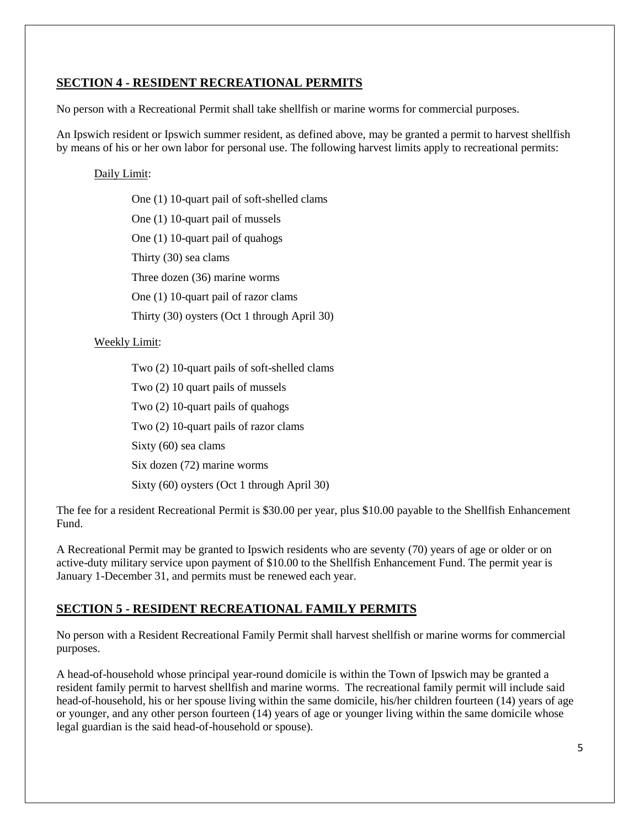# **SECTION 4 - RESIDENT RECREATIONAL PERMITS**

No person with a Recreational Permit shall take shellfish or marine worms for commercial purposes.

An Ipswich resident or Ipswich summer resident, as defined above, may be granted a permit to harvest shellfish by means of his or her own labor for personal use. The following harvest limits apply to recreational permits:

# Daily Limit:

One (1) 10-quart pail of soft-shelled clams One (1) 10-quart pail of mussels One (1) 10-quart pail of quahogs Thirty (30) sea clams Three dozen (36) marine worms One (1) 10-quart pail of razor clams Thirty (30) oysters (Oct 1 through April 30)

# Weekly Limit:

Two (2) 10-quart pails of soft-shelled clams

Two (2) 10 quart pails of mussels

Two (2) 10-quart pails of quahogs

Two (2) 10-quart pails of razor clams

Sixty (60) sea clams

Six dozen (72) marine worms

Sixty (60) oysters (Oct 1 through April 30)

The fee for a resident Recreational Permit is \$30.00 per year, plus \$10.00 payable to the Shellfish Enhancement Fund.

A Recreational Permit may be granted to Ipswich residents who are seventy (70) years of age or older or on active-duty military service upon payment of \$10.00 to the Shellfish Enhancement Fund. The permit year is January 1-December 31, and permits must be renewed each year.

# **SECTION 5 - RESIDENT RECREATIONAL FAMILY PERMITS**

No person with a Resident Recreational Family Permit shall harvest shellfish or marine worms for commercial purposes.

A head-of-household whose principal year-round domicile is within the Town of Ipswich may be granted a resident family permit to harvest shellfish and marine worms. The recreational family permit will include said head-of-household, his or her spouse living within the same domicile, his/her children fourteen (14) years of age or younger, and any other person fourteen (14) years of age or younger living within the same domicile whose legal guardian is the said head-of-household or spouse).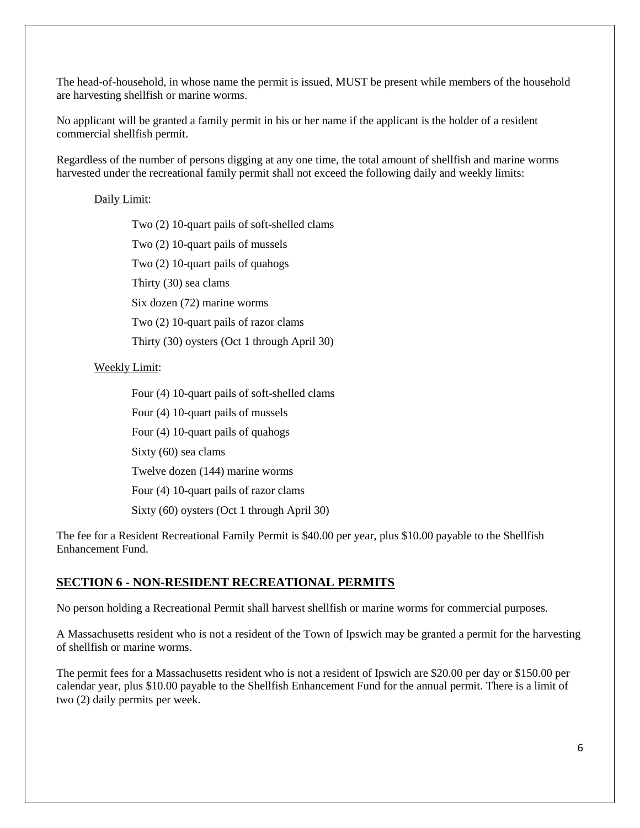The head-of-household, in whose name the permit is issued, MUST be present while members of the household are harvesting shellfish or marine worms.

No applicant will be granted a family permit in his or her name if the applicant is the holder of a resident commercial shellfish permit.

Regardless of the number of persons digging at any one time, the total amount of shellfish and marine worms harvested under the recreational family permit shall not exceed the following daily and weekly limits:

#### Daily Limit:

Two (2) 10-quart pails of soft-shelled clams Two (2) 10-quart pails of mussels Two (2) 10-quart pails of quahogs Thirty (30) sea clams Six dozen (72) marine worms Two (2) 10-quart pails of razor clams Thirty (30) oysters (Oct 1 through April 30)

## Weekly Limit:

Four (4) 10-quart pails of soft-shelled clams

Four (4) 10-quart pails of mussels

Four (4) 10-quart pails of quahogs

Sixty (60) sea clams

Twelve dozen (144) marine worms

Four (4) 10-quart pails of razor clams

Sixty (60) oysters (Oct 1 through April 30)

The fee for a Resident Recreational Family Permit is \$40.00 per year, plus \$10.00 payable to the Shellfish Enhancement Fund.

# **SECTION 6 - NON-RESIDENT RECREATIONAL PERMITS**

No person holding a Recreational Permit shall harvest shellfish or marine worms for commercial purposes.

A Massachusetts resident who is not a resident of the Town of Ipswich may be granted a permit for the harvesting of shellfish or marine worms.

The permit fees for a Massachusetts resident who is not a resident of Ipswich are \$20.00 per day or \$150.00 per calendar year, plus \$10.00 payable to the Shellfish Enhancement Fund for the annual permit. There is a limit of two (2) daily permits per week.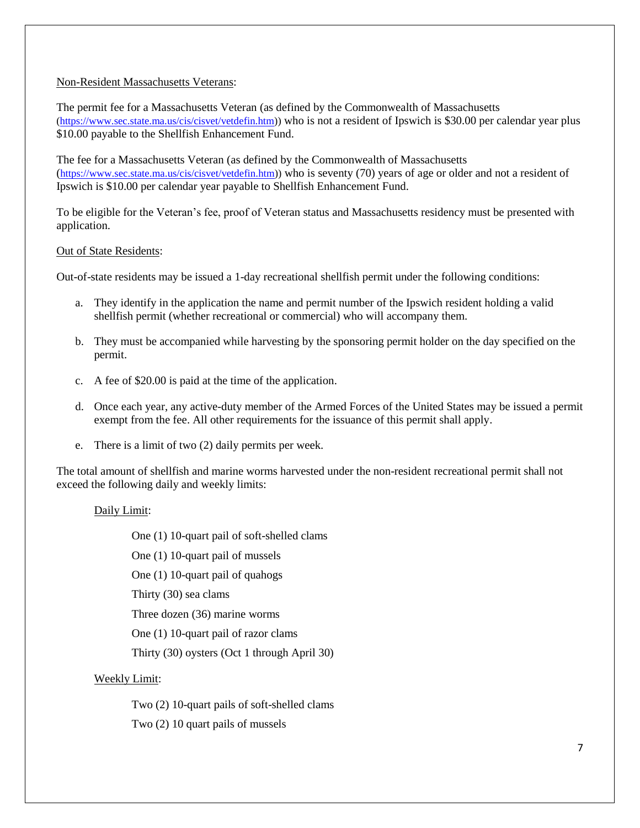#### Non-Resident Massachusetts Veterans:

The permit fee for a Massachusetts Veteran (as defined by the Commonwealth of Massachusetts [\(https://www.sec.state.ma.us/cis/cisvet/vetdefin.htm\)](https://www.sec.state.ma.us/cis/cisvet/vetdefin.htm)) who is not a resident of Ipswich is \$30.00 per calendar year plus \$10.00 payable to the Shellfish Enhancement Fund.

The fee for a Massachusetts Veteran (as defined by the Commonwealth of Massachusetts ([https://www.sec.state.ma.us/cis/cisvet/vetdefin.htm\)](https://www.sec.state.ma.us/cis/cisvet/vetdefin.htm)) who is seventy (70) years of age or older and not a resident of Ipswich is \$10.00 per calendar year payable to Shellfish Enhancement Fund.

To be eligible for the Veteran's fee, proof of Veteran status and Massachusetts residency must be presented with application.

#### Out of State Residents:

Out-of-state residents may be issued a 1-day recreational shellfish permit under the following conditions:

- a. They identify in the application the name and permit number of the Ipswich resident holding a valid shellfish permit (whether recreational or commercial) who will accompany them.
- b. They must be accompanied while harvesting by the sponsoring permit holder on the day specified on the permit.
- c. A fee of \$20.00 is paid at the time of the application.
- d. Once each year, any active-duty member of the Armed Forces of the United States may be issued a permit exempt from the fee. All other requirements for the issuance of this permit shall apply.
- e. There is a limit of two (2) daily permits per week.

The total amount of shellfish and marine worms harvested under the non-resident recreational permit shall not exceed the following daily and weekly limits:

#### Daily Limit:

One (1) 10-quart pail of soft-shelled clams

One (1) 10-quart pail of mussels

One (1) 10-quart pail of quahogs

Thirty (30) sea clams

Three dozen (36) marine worms

One (1) 10-quart pail of razor clams

Thirty (30) oysters (Oct 1 through April 30)

#### Weekly Limit:

Two (2) 10-quart pails of soft-shelled clams

Two (2) 10 quart pails of mussels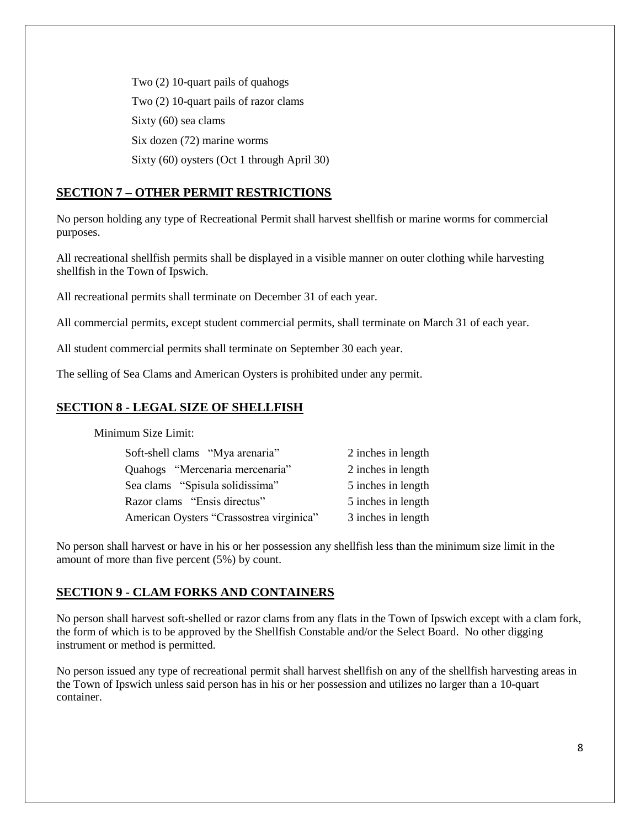Two (2) 10-quart pails of quahogs Two (2) 10-quart pails of razor clams Sixty (60) sea clams Six dozen (72) marine worms Sixty (60) oysters (Oct 1 through April 30)

# **SECTION 7 – OTHER PERMIT RESTRICTIONS**

No person holding any type of Recreational Permit shall harvest shellfish or marine worms for commercial purposes.

All recreational shellfish permits shall be displayed in a visible manner on outer clothing while harvesting shellfish in the Town of Ipswich.

All recreational permits shall terminate on December 31 of each year.

All commercial permits, except student commercial permits, shall terminate on March 31 of each year.

All student commercial permits shall terminate on September 30 each year.

The selling of Sea Clams and American Oysters is prohibited under any permit.

# **SECTION 8 - LEGAL SIZE OF SHELLFISH**

Minimum Size Limit:

| Soft-shell clams "Mya arenaria"          | 2 inches in length |
|------------------------------------------|--------------------|
| Quahogs "Mercenaria mercenaria"          | 2 inches in length |
| Sea clams "Spisula solidissima"          | 5 inches in length |
| Razor clams "Ensis directus"             | 5 inches in length |
| American Oysters "Crassostrea virginica" | 3 inches in length |
|                                          |                    |

No person shall harvest or have in his or her possession any shellfish less than the minimum size limit in the amount of more than five percent (5%) by count.

# **SECTION 9 - CLAM FORKS AND CONTAINERS**

No person shall harvest soft-shelled or razor clams from any flats in the Town of Ipswich except with a clam fork, the form of which is to be approved by the Shellfish Constable and/or the Select Board. No other digging instrument or method is permitted.

No person issued any type of recreational permit shall harvest shellfish on any of the shellfish harvesting areas in the Town of Ipswich unless said person has in his or her possession and utilizes no larger than a 10-quart container.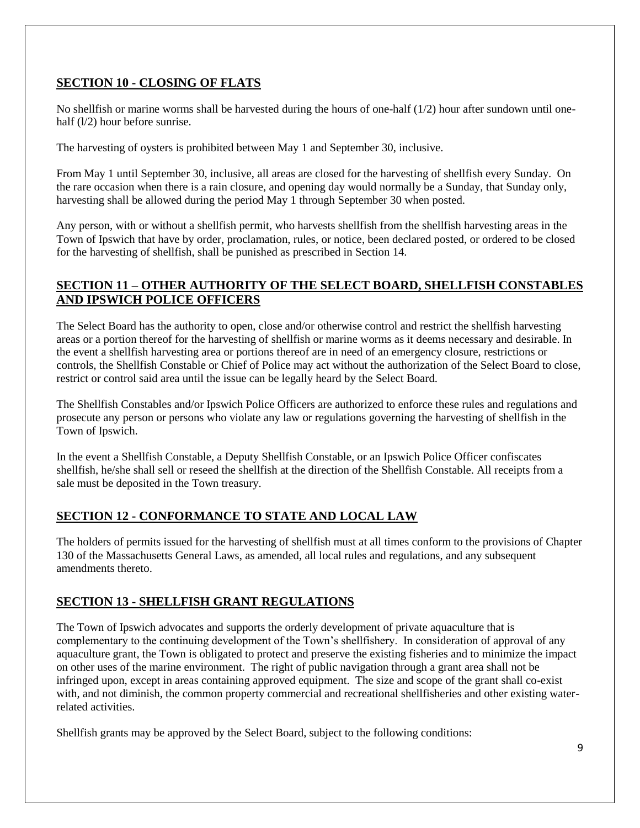# **SECTION 10 - CLOSING OF FLATS**

No shellfish or marine worms shall be harvested during the hours of one-half (1/2) hour after sundown until onehalf ( $1/2$ ) hour before sunrise.

The harvesting of oysters is prohibited between May 1 and September 30, inclusive.

From May 1 until September 30, inclusive, all areas are closed for the harvesting of shellfish every Sunday. On the rare occasion when there is a rain closure, and opening day would normally be a Sunday, that Sunday only, harvesting shall be allowed during the period May 1 through September 30 when posted.

Any person, with or without a shellfish permit, who harvests shellfish from the shellfish harvesting areas in the Town of Ipswich that have by order, proclamation, rules, or notice, been declared posted, or ordered to be closed for the harvesting of shellfish, shall be punished as prescribed in Section 14.

# **SECTION 11 – OTHER AUTHORITY OF THE SELECT BOARD, SHELLFISH CONSTABLES AND IPSWICH POLICE OFFICERS**

The Select Board has the authority to open, close and/or otherwise control and restrict the shellfish harvesting areas or a portion thereof for the harvesting of shellfish or marine worms as it deems necessary and desirable. In the event a shellfish harvesting area or portions thereof are in need of an emergency closure, restrictions or controls, the Shellfish Constable or Chief of Police may act without the authorization of the Select Board to close, restrict or control said area until the issue can be legally heard by the Select Board.

The Shellfish Constables and/or Ipswich Police Officers are authorized to enforce these rules and regulations and prosecute any person or persons who violate any law or regulations governing the harvesting of shellfish in the Town of Ipswich.

In the event a Shellfish Constable, a Deputy Shellfish Constable, or an Ipswich Police Officer confiscates shellfish, he/she shall sell or reseed the shellfish at the direction of the Shellfish Constable. All receipts from a sale must be deposited in the Town treasury.

# **SECTION 12 - CONFORMANCE TO STATE AND LOCAL LAW**

The holders of permits issued for the harvesting of shellfish must at all times conform to the provisions of Chapter 130 of the Massachusetts General Laws, as amended, all local rules and regulations, and any subsequent amendments thereto.

# **SECTION 13 - SHELLFISH GRANT REGULATIONS**

The Town of Ipswich advocates and supports the orderly development of private aquaculture that is complementary to the continuing development of the Town's shellfishery. In consideration of approval of any aquaculture grant, the Town is obligated to protect and preserve the existing fisheries and to minimize the impact on other uses of the marine environment. The right of public navigation through a grant area shall not be infringed upon, except in areas containing approved equipment. The size and scope of the grant shall co-exist with, and not diminish, the common property commercial and recreational shellfisheries and other existing waterrelated activities.

Shellfish grants may be approved by the Select Board, subject to the following conditions: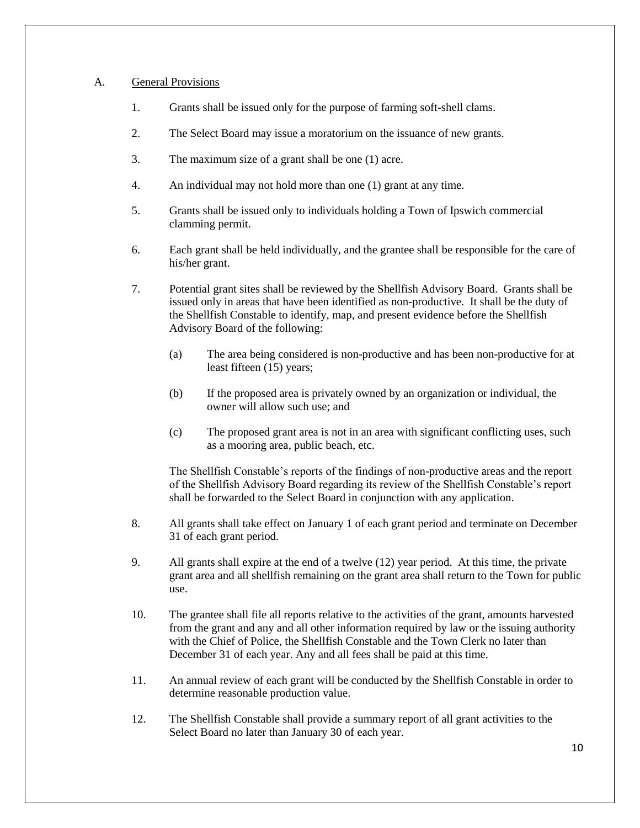#### A. General Provisions

- 1. Grants shall be issued only for the purpose of farming soft-shell clams.
- 2. The Select Board may issue a moratorium on the issuance of new grants.
- 3. The maximum size of a grant shall be one (1) acre.
- 4. An individual may not hold more than one (1) grant at any time.
- 5. Grants shall be issued only to individuals holding a Town of Ipswich commercial clamming permit.
- 6. Each grant shall be held individually, and the grantee shall be responsible for the care of his/her grant.
- 7. Potential grant sites shall be reviewed by the Shellfish Advisory Board. Grants shall be issued only in areas that have been identified as non-productive. It shall be the duty of the Shellfish Constable to identify, map, and present evidence before the Shellfish Advisory Board of the following:
	- (a) The area being considered is non-productive and has been non-productive for at least fifteen (15) years;
	- (b) If the proposed area is privately owned by an organization or individual, the owner will allow such use; and
	- (c) The proposed grant area is not in an area with significant conflicting uses, such as a mooring area, public beach, etc.

The Shellfish Constable's reports of the findings of non-productive areas and the report of the Shellfish Advisory Board regarding its review of the Shellfish Constable's report shall be forwarded to the Select Board in conjunction with any application.

- 8. All grants shall take effect on January 1 of each grant period and terminate on December 31 of each grant period.
- 9. All grants shall expire at the end of a twelve (12) year period. At this time, the private grant area and all shellfish remaining on the grant area shall return to the Town for public use.
- 10. The grantee shall file all reports relative to the activities of the grant, amounts harvested from the grant and any and all other information required by law or the issuing authority with the Chief of Police, the Shellfish Constable and the Town Clerk no later than December 31 of each year. Any and all fees shall be paid at this time.
- 11. An annual review of each grant will be conducted by the Shellfish Constable in order to determine reasonable production value.
- 12. The Shellfish Constable shall provide a summary report of all grant activities to the Select Board no later than January 30 of each year.

10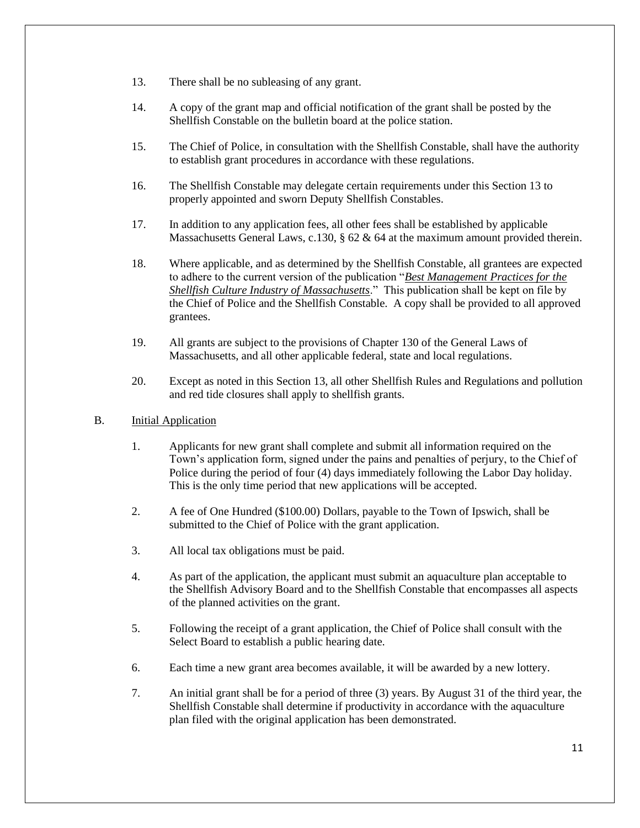- 13. There shall be no subleasing of any grant.
- 14. A copy of the grant map and official notification of the grant shall be posted by the Shellfish Constable on the bulletin board at the police station.
- 15. The Chief of Police, in consultation with the Shellfish Constable, shall have the authority to establish grant procedures in accordance with these regulations.
- 16. The Shellfish Constable may delegate certain requirements under this Section 13 to properly appointed and sworn Deputy Shellfish Constables.
- 17. In addition to any application fees, all other fees shall be established by applicable Massachusetts General Laws, c.130, § 62 & 64 at the maximum amount provided therein.
- 18. Where applicable, and as determined by the Shellfish Constable, all grantees are expected to adhere to the current version of the publication "*Best Management Practices for the Shellfish Culture Industry of Massachusetts*." This publication shall be kept on file by the Chief of Police and the Shellfish Constable. A copy shall be provided to all approved grantees.
- 19. All grants are subject to the provisions of Chapter 130 of the General Laws of Massachusetts, and all other applicable federal, state and local regulations.
- 20. Except as noted in this Section 13, all other Shellfish Rules and Regulations and pollution and red tide closures shall apply to shellfish grants.
- B. Initial Application
	- 1. Applicants for new grant shall complete and submit all information required on the Town's application form, signed under the pains and penalties of perjury, to the Chief of Police during the period of four (4) days immediately following the Labor Day holiday. This is the only time period that new applications will be accepted.
	- 2. A fee of One Hundred (\$100.00) Dollars, payable to the Town of Ipswich, shall be submitted to the Chief of Police with the grant application.
	- 3. All local tax obligations must be paid.
	- 4. As part of the application, the applicant must submit an aquaculture plan acceptable to the Shellfish Advisory Board and to the Shellfish Constable that encompasses all aspects of the planned activities on the grant.
	- 5. Following the receipt of a grant application, the Chief of Police shall consult with the Select Board to establish a public hearing date.
	- 6. Each time a new grant area becomes available, it will be awarded by a new lottery.
	- 7. An initial grant shall be for a period of three (3) years. By August 31 of the third year, the Shellfish Constable shall determine if productivity in accordance with the aquaculture plan filed with the original application has been demonstrated.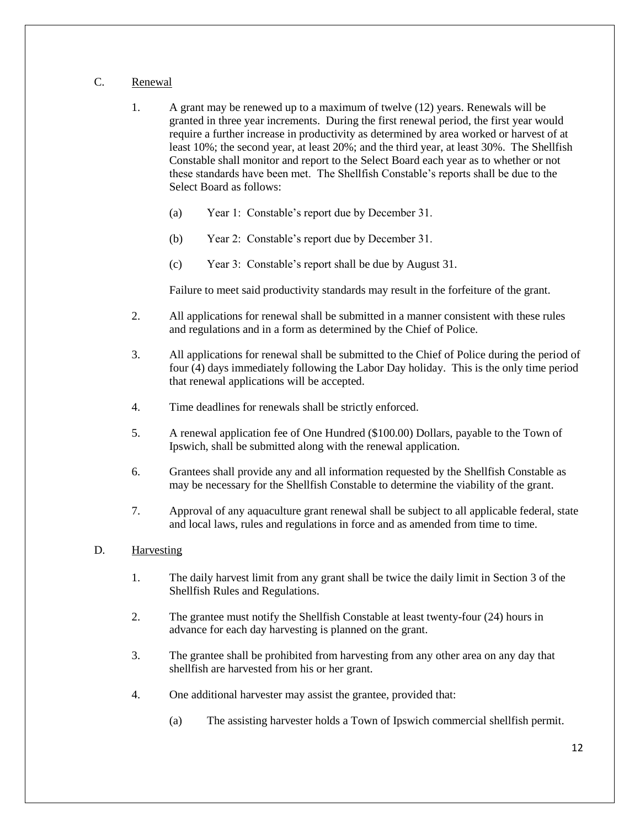# C. Renewal

- 1. A grant may be renewed up to a maximum of twelve (12) years. Renewals will be granted in three year increments. During the first renewal period, the first year would require a further increase in productivity as determined by area worked or harvest of at least 10%; the second year, at least 20%; and the third year, at least 30%. The Shellfish Constable shall monitor and report to the Select Board each year as to whether or not these standards have been met. The Shellfish Constable's reports shall be due to the Select Board as follows:
	- (a) Year 1: Constable's report due by December 31.
	- (b) Year 2: Constable's report due by December 31.
	- (c) Year 3: Constable's report shall be due by August 31.

Failure to meet said productivity standards may result in the forfeiture of the grant.

- 2. All applications for renewal shall be submitted in a manner consistent with these rules and regulations and in a form as determined by the Chief of Police.
- 3. All applications for renewal shall be submitted to the Chief of Police during the period of four (4) days immediately following the Labor Day holiday. This is the only time period that renewal applications will be accepted.
- 4. Time deadlines for renewals shall be strictly enforced.
- 5. A renewal application fee of One Hundred (\$100.00) Dollars, payable to the Town of Ipswich, shall be submitted along with the renewal application.
- 6. Grantees shall provide any and all information requested by the Shellfish Constable as may be necessary for the Shellfish Constable to determine the viability of the grant.
- 7. Approval of any aquaculture grant renewal shall be subject to all applicable federal, state and local laws, rules and regulations in force and as amended from time to time.

#### D. Harvesting

- 1. The daily harvest limit from any grant shall be twice the daily limit in Section 3 of the Shellfish Rules and Regulations.
- 2. The grantee must notify the Shellfish Constable at least twenty-four (24) hours in advance for each day harvesting is planned on the grant.
- 3. The grantee shall be prohibited from harvesting from any other area on any day that shellfish are harvested from his or her grant.
- 4. One additional harvester may assist the grantee, provided that:
	- (a) The assisting harvester holds a Town of Ipswich commercial shellfish permit.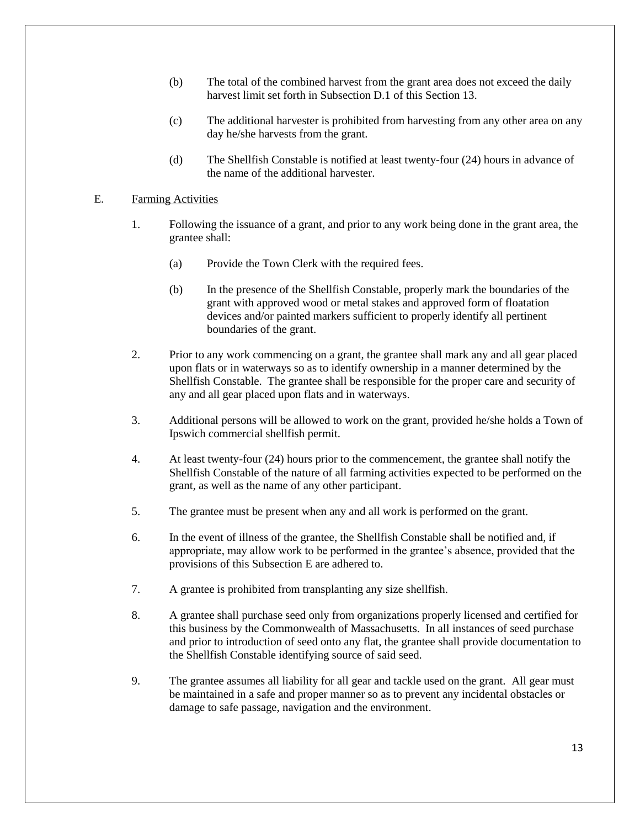- (b) The total of the combined harvest from the grant area does not exceed the daily harvest limit set forth in Subsection D.1 of this Section 13.
- (c) The additional harvester is prohibited from harvesting from any other area on any day he/she harvests from the grant.
- (d) The Shellfish Constable is notified at least twenty-four (24) hours in advance of the name of the additional harvester.

#### E. Farming Activities

- 1. Following the issuance of a grant, and prior to any work being done in the grant area, the grantee shall:
	- (a) Provide the Town Clerk with the required fees.
	- (b) In the presence of the Shellfish Constable, properly mark the boundaries of the grant with approved wood or metal stakes and approved form of floatation devices and/or painted markers sufficient to properly identify all pertinent boundaries of the grant.
- 2. Prior to any work commencing on a grant, the grantee shall mark any and all gear placed upon flats or in waterways so as to identify ownership in a manner determined by the Shellfish Constable. The grantee shall be responsible for the proper care and security of any and all gear placed upon flats and in waterways.
- 3. Additional persons will be allowed to work on the grant, provided he/she holds a Town of Ipswich commercial shellfish permit.
- 4. At least twenty-four (24) hours prior to the commencement, the grantee shall notify the Shellfish Constable of the nature of all farming activities expected to be performed on the grant, as well as the name of any other participant.
- 5. The grantee must be present when any and all work is performed on the grant.
- 6. In the event of illness of the grantee, the Shellfish Constable shall be notified and, if appropriate, may allow work to be performed in the grantee's absence, provided that the provisions of this Subsection E are adhered to.
- 7. A grantee is prohibited from transplanting any size shellfish.
- 8. A grantee shall purchase seed only from organizations properly licensed and certified for this business by the Commonwealth of Massachusetts. In all instances of seed purchase and prior to introduction of seed onto any flat, the grantee shall provide documentation to the Shellfish Constable identifying source of said seed.
- 9. The grantee assumes all liability for all gear and tackle used on the grant. All gear must be maintained in a safe and proper manner so as to prevent any incidental obstacles or damage to safe passage, navigation and the environment.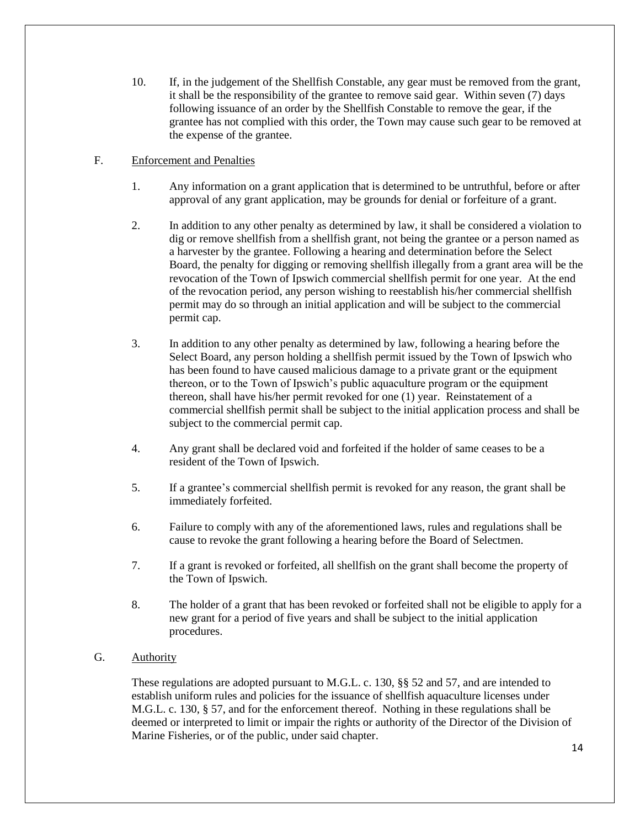10. If, in the judgement of the Shellfish Constable, any gear must be removed from the grant, it shall be the responsibility of the grantee to remove said gear. Within seven (7) days following issuance of an order by the Shellfish Constable to remove the gear, if the grantee has not complied with this order, the Town may cause such gear to be removed at the expense of the grantee.

# F. Enforcement and Penalties

- 1. Any information on a grant application that is determined to be untruthful, before or after approval of any grant application, may be grounds for denial or forfeiture of a grant.
- 2. In addition to any other penalty as determined by law, it shall be considered a violation to dig or remove shellfish from a shellfish grant, not being the grantee or a person named as a harvester by the grantee. Following a hearing and determination before the Select Board, the penalty for digging or removing shellfish illegally from a grant area will be the revocation of the Town of Ipswich commercial shellfish permit for one year. At the end of the revocation period, any person wishing to reestablish his/her commercial shellfish permit may do so through an initial application and will be subject to the commercial permit cap.
- 3. In addition to any other penalty as determined by law, following a hearing before the Select Board, any person holding a shellfish permit issued by the Town of Ipswich who has been found to have caused malicious damage to a private grant or the equipment thereon, or to the Town of Ipswich's public aquaculture program or the equipment thereon, shall have his/her permit revoked for one (1) year. Reinstatement of a commercial shellfish permit shall be subject to the initial application process and shall be subject to the commercial permit cap.
- 4. Any grant shall be declared void and forfeited if the holder of same ceases to be a resident of the Town of Ipswich.
- 5. If a grantee's commercial shellfish permit is revoked for any reason, the grant shall be immediately forfeited.
- 6. Failure to comply with any of the aforementioned laws, rules and regulations shall be cause to revoke the grant following a hearing before the Board of Selectmen.
- 7. If a grant is revoked or forfeited, all shellfish on the grant shall become the property of the Town of Ipswich.
- 8. The holder of a grant that has been revoked or forfeited shall not be eligible to apply for a new grant for a period of five years and shall be subject to the initial application procedures.

### G. Authority

These regulations are adopted pursuant to M.G.L. c. 130, §§ 52 and 57, and are intended to establish uniform rules and policies for the issuance of shellfish aquaculture licenses under M.G.L. c. 130, § 57, and for the enforcement thereof. Nothing in these regulations shall be deemed or interpreted to limit or impair the rights or authority of the Director of the Division of Marine Fisheries, or of the public, under said chapter.